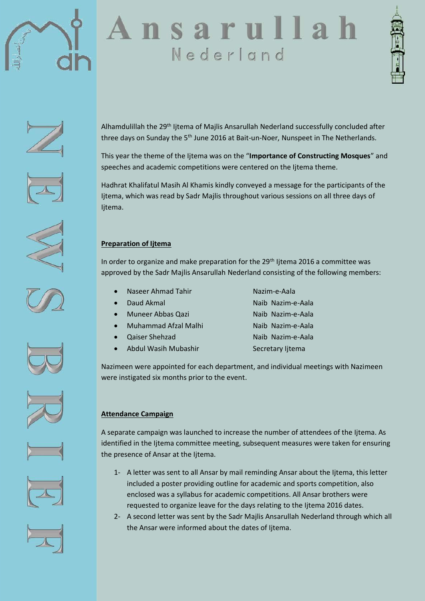





















Alhamdulillah the 29th Ijtema of Majlis Ansarullah Nederland successfully concluded after three days on Sunday the 5<sup>th</sup> June 2016 at Bait-un-Noer, Nunspeet in The Netherlands.

This year the theme of the Ijtema was on the "**Importance of Constructing Mosques**" and speeches and academic competitions were centered on the Ijtema theme.

Hadhrat Khalifatul Masih Al Khamis kindly conveyed a message for the participants of the Ijtema, which was read by Sadr Majlis throughout various sessions on all three days of Ijtema.

## **Preparation of Ijtema**

In order to organize and make preparation for the 29<sup>th</sup> Ijtema 2016 a committee was approved by the Sadr Majlis Ansarullah Nederland consisting of the following members:

- Naseer Ahmad Tahir Nazim-e-Aala
- 
- Muneer Abbas Qazi Naib Nazim-e-Aala
- Muhammad Afzal Malhi Naib Nazim-e-Aala
- Qaiser Shehzad Naib Nazim-e-Aala
- Abdul Wasih Mubashir Secretary Ijtema
- Daud Akmal Naib Nazim-e-Aala
	-

Nazimeen were appointed for each department, and individual meetings with Nazimeen were instigated six months prior to the event.

# **Attendance Campaign**

A separate campaign was launched to increase the number of attendees of the Ijtema. As identified in the Ijtema committee meeting, subsequent measures were taken for ensuring the presence of Ansar at the Ijtema.

- 1- A letter was sent to all Ansar by mail reminding Ansar about the Ijtema, this letter included a poster providing outline for academic and sports competition, also enclosed was a syllabus for academic competitions. All Ansar brothers were requested to organize leave for the days relating to the Ijtema 2016 dates.
- 2- A second letter was sent by the Sadr Majlis Ansarullah Nederland through which all the Ansar were informed about the dates of Ijtema.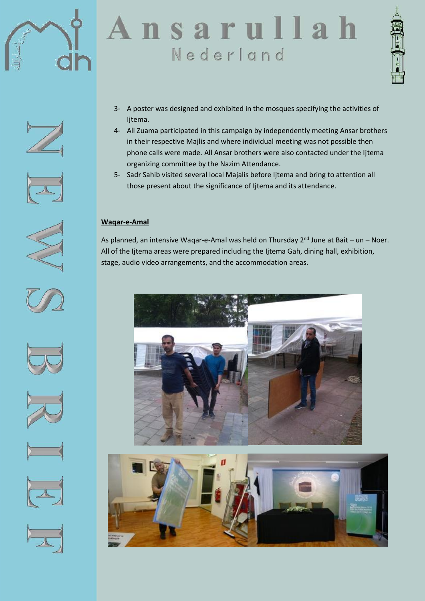



















- 3- A poster was designed and exhibited in the mosques specifying the activities of Ijtema.
- 4- All Zuama participated in this campaign by independently meeting Ansar brothers in their respective Majlis and where individual meeting was not possible then phone calls were made. All Ansar brothers were also contacted under the Ijtema organizing committee by the Nazim Attendance.
- 5- Sadr Sahib visited several local Majalis before Ijtema and bring to attention all those present about the significance of Ijtema and its attendance.

## **Waqar-e-Amal**

As planned, an intensive Waqar-e-Amal was held on Thursday  $2^{nd}$  June at Bait – un – Noer. All of the Ijtema areas were prepared including the Ijtema Gah, dining hall, exhibition, stage, audio video arrangements, and the accommodation areas.



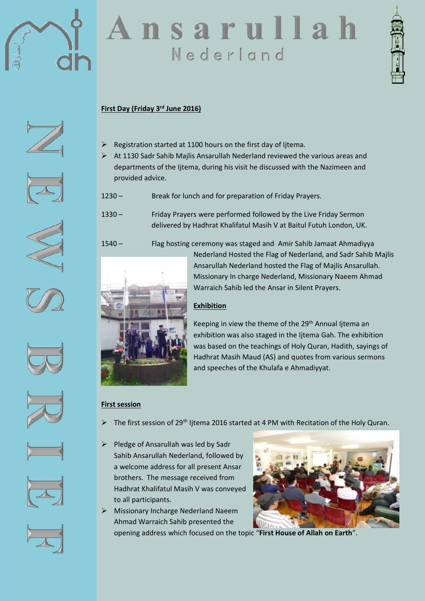



## **First Day (Friday 3rd June 2016)**

- $\triangleright$  Registration started at 1100 hours on the first day of litema.
- $\triangleright$  At 1130 Sadr Sahib Majlis Ansarullah Nederland reviewed the various areas and departments of the Ijtema, during his visit he discussed with the Nazimeen and provided advice.
- 1230 Break for lunch and for preparation of Friday Prayers.
- 1330 Friday Prayers were performed followed by the Live Friday Sermon delivered by Hadhrat Khalifatul Masih V at Baitul Futuh London, UK.
- 1540 Flag hosting ceremony was staged and Amir Sahib Jamaat Ahmadiyya Nederland Hosted the Flag of Nederland, and Sadr Sahib Majlis Ansarullah Nederland hosted the Flag of Majlis Ansarullah. Missionary In charge Nederland, Missionary Naeem Ahmad Warraich Sahib led the Ansar in Silent Prayers.

## **Exhibition**

Keeping in view the theme of the 29th Annual Ijtema an exhibition was also staged in the Ijtema Gah. The exhibition was based on the teachings of Holy Quran, Hadith, sayings of Hadhrat Masih Maud (AS) and quotes from various sermons and speeches of the Khulafa e Ahmadiyyat.

# **First session**

The first session of 29<sup>th</sup> Ijtema 2016 started at 4 PM with Recitation of the Holy Quran.

- $\triangleright$  Pledge of Ansarullah was led by Sadr Sahib Ansarullah Nederland, followed by a welcome address for all present Ansar brothers. The message received from Hadhrat Khalifatul Masih V was conveyed to all participants.
- Missionary Incharge Nederland Naeem Ahmad Warraich Sahib presented the



opening address which focused on the topic "**First House of Allah on Earth**".















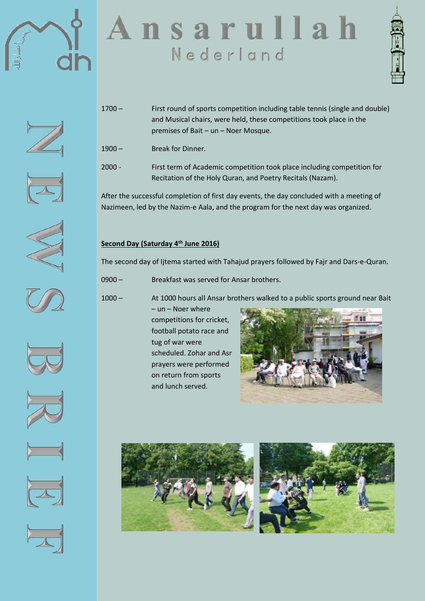



- 1700 First round of sports competition including table tennis (single and double) and Musical chairs, were held, these competitions took place in the premises of Bait – un – Noer Mosque.
- 1900 Break for Dinner.
- 2000 First term of Academic competition took place including competition for Recitation of the Holy Quran, and Poetry Recitals (Nazam).

After the successful completion of first day events, the day concluded with a meeting of Nazimeen, led by the Nazim-e Aala, and the program for the next day was organized.

# **Second Day (Saturday 4th June 2016)**

The second day of Ijtema started with Tahajud prayers followed by Fajr and Dars-e-Quran.

0900 – Breakfast was served for Ansar brothers.

1000 – At 1000 hours all Ansar brothers walked to a public sports ground near Bait

– un – Noer where competitions for cricket, football potato race and tug of war were scheduled. Zohar and Asr prayers were performed on return from sports and lunch served.























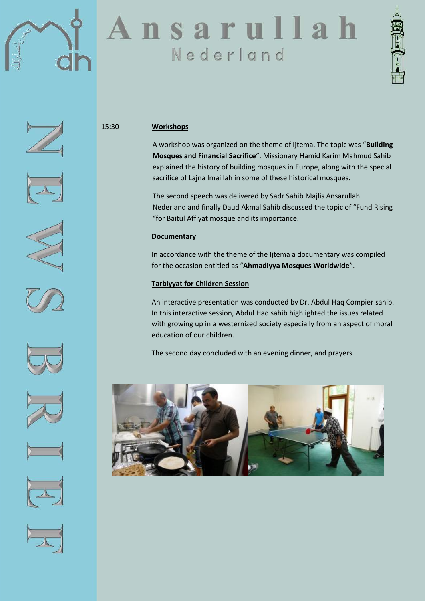



















#### 15:30 - **Workshops**

A workshop was organized on the theme of Ijtema. The topic was "**Building Mosques and Financial Sacrifice**". Missionary Hamid Karim Mahmud Sahib explained the history of building mosques in Europe, along with the special sacrifice of Lajna Imaillah in some of these historical mosques.

The second speech was delivered by Sadr Sahib Majlis Ansarullah Nederland and finally Daud Akmal Sahib discussed the topic of "Fund Rising "for Baitul Affiyat mosque and its importance.

## **Documentary**

In accordance with the theme of the Ijtema a documentary was compiled for the occasion entitled as "**Ahmadiyya Mosques Worldwide**".

#### **Tarbiyyat for Children Session**

An interactive presentation was conducted by Dr. Abdul Haq Compier sahib. In this interactive session, Abdul Haq sahib highlighted the issues related with growing up in a westernized society especially from an aspect of moral education of our children.

The second day concluded with an evening dinner, and prayers.